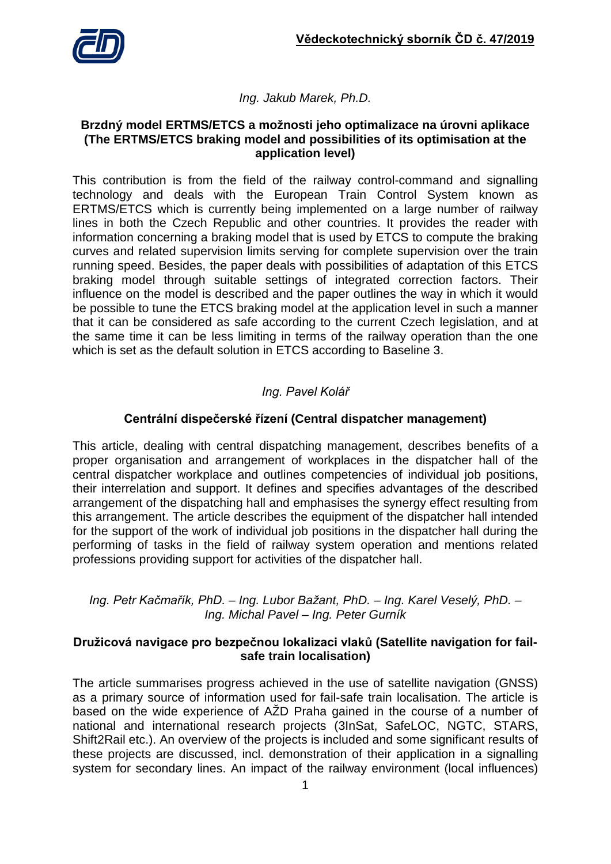

## *Ing. Jakub Marek, Ph.D.*

#### **Brzdný model ERTMS/ETCS a možnosti jeho optimalizace na úrovni aplikace (The ERTMS/ETCS braking model and possibilities of its optimisation at the application level)**

This contribution is from the field of the railway control-command and signalling technology and deals with the European Train Control System known as ERTMS/ETCS which is currently being implemented on a large number of railway lines in both the Czech Republic and other countries. It provides the reader with information concerning a braking model that is used by ETCS to compute the braking curves and related supervision limits serving for complete supervision over the train running speed. Besides, the paper deals with possibilities of adaptation of this ETCS braking model through suitable settings of integrated correction factors. Their influence on the model is described and the paper outlines the way in which it would be possible to tune the ETCS braking model at the application level in such a manner that it can be considered as safe according to the current Czech legislation, and at the same time it can be less limiting in terms of the railway operation than the one which is set as the default solution in ETCS according to Baseline 3.

# *Ing. Pavel Kolář*

# **Centrální dispečerské řízení (Central dispatcher management)**

This article, dealing with central dispatching management, describes benefits of a proper organisation and arrangement of workplaces in the dispatcher hall of the central dispatcher workplace and outlines competencies of individual job positions, their interrelation and support. It defines and specifies advantages of the described arrangement of the dispatching hall and emphasises the synergy effect resulting from this arrangement. The article describes the equipment of the dispatcher hall intended for the support of the work of individual job positions in the dispatcher hall during the performing of tasks in the field of railway system operation and mentions related professions providing support for activities of the dispatcher hall.

### *Ing. Petr Kačmařík, PhD. – Ing. Lubor Bažant, PhD. – Ing. Karel Veselý, PhD. – Ing. Michal Pavel – Ing. Peter Gurník*

### **Družicová navigace pro bezpečnou lokalizaci vlaků (Satellite navigation for failsafe train localisation)**

The article summarises progress achieved in the use of satellite navigation (GNSS) as a primary source of information used for fail-safe train localisation. The article is based on the wide experience of AŽD Praha gained in the course of a number of national and international research projects (3InSat, SafeLOC, NGTC, STARS, Shift2Rail etc.). An overview of the projects is included and some significant results of these projects are discussed, incl. demonstration of their application in a signalling system for secondary lines. An impact of the railway environment (local influences)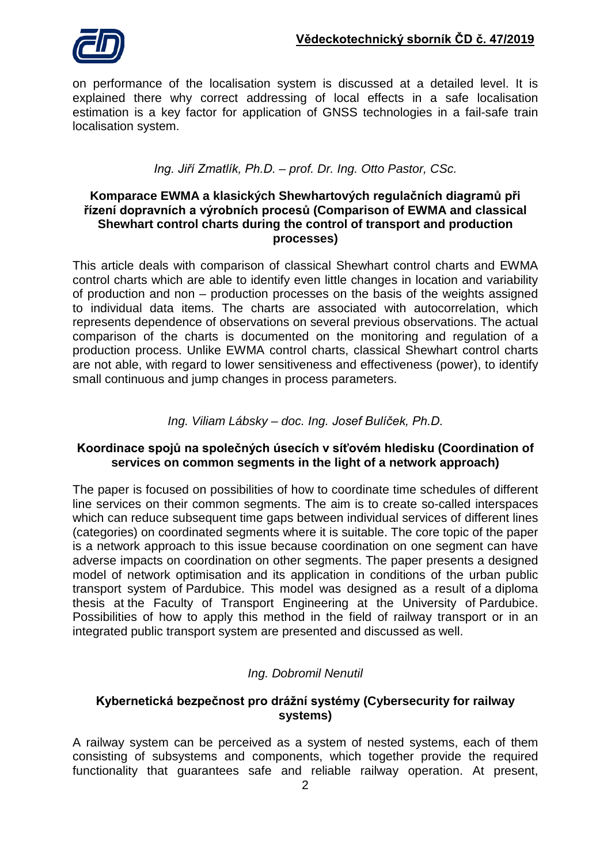on performance of the localisation system is discussed at a detailed level. It is explained there why correct addressing of local effects in a safe localisation estimation is a key factor for application of GNSS technologies in a fail-safe train localisation system.

# *Ing. Jiří Zmatlík, Ph.D. – prof. Dr. Ing. Otto Pastor, CSc.*

### **Komparace EWMA a klasických Shewhartových regulačních diagramů při řízení dopravních a výrobních procesů (Comparison of EWMA and classical Shewhart control charts during the control of transport and production processes)**

This article deals with comparison of classical Shewhart control charts and EWMA control charts which are able to identify even little changes in location and variability of production and non – production processes on the basis of the weights assigned to individual data items. The charts are associated with autocorrelation, which represents dependence of observations on several previous observations. The actual comparison of the charts is documented on the monitoring and regulation of a production process. Unlike EWMA control charts, classical Shewhart control charts are not able, with regard to lower sensitiveness and effectiveness (power), to identify small continuous and jump changes in process parameters.

## *Ing. Viliam Lábsky – doc. Ing. Josef Bulíček, Ph.D.*

## **Koordinace spojů na společných úsecích v síťovém hledisku (Coordination of services on common segments in the light of a network approach)**

The paper is focused on possibilities of how to coordinate time schedules of different line services on their common segments. The aim is to create so-called interspaces which can reduce subsequent time gaps between individual services of different lines (categories) on coordinated segments where it is suitable. The core topic of the paper is a network approach to this issue because coordination on one segment can have adverse impacts on coordination on other segments. The paper presents a designed model of network optimisation and its application in conditions of the urban public transport system of Pardubice. This model was designed as a result of a diploma thesis at the Faculty of Transport Engineering at the University of Pardubice. Possibilities of how to apply this method in the field of railway transport or in an integrated public transport system are presented and discussed as well.

# *Ing. Dobromil Nenutil*

## **Kybernetická bezpečnost pro drážní systémy (Cybersecurity for railway systems)**

A railway system can be perceived as a system of nested systems, each of them consisting of subsystems and components, which together provide the required functionality that guarantees safe and reliable railway operation. At present,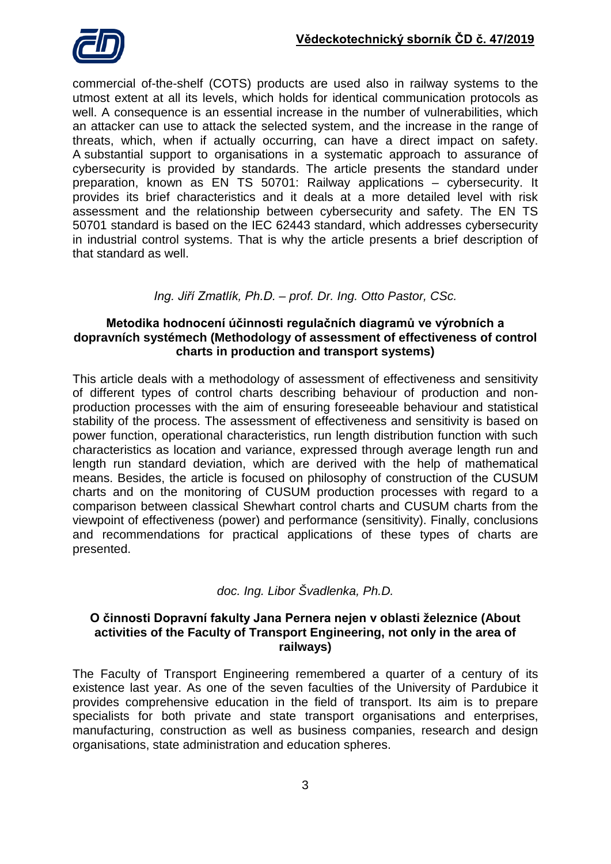

commercial of-the-shelf (COTS) products are used also in railway systems to the utmost extent at all its levels, which holds for identical communication protocols as well. A consequence is an essential increase in the number of vulnerabilities, which an attacker can use to attack the selected system, and the increase in the range of threats, which, when if actually occurring, can have a direct impact on safety. A substantial support to organisations in a systematic approach to assurance of cybersecurity is provided by standards. The article presents the standard under preparation, known as EN TS 50701: Railway applications – cybersecurity. It provides its brief characteristics and it deals at a more detailed level with risk assessment and the relationship between cybersecurity and safety. The EN TS 50701 standard is based on the IEC 62443 standard, which addresses cybersecurity in industrial control systems. That is why the article presents a brief description of that standard as well.

## *Ing. Jiří Zmatlík, Ph.D. – prof. Dr. Ing. Otto Pastor, CSc.*

### **Metodika hodnocení účinnosti regulačních diagramů ve výrobních a dopravních systémech (Methodology of assessment of effectiveness of control charts in production and transport systems)**

This article deals with a methodology of assessment of effectiveness and sensitivity of different types of control charts describing behaviour of production and nonproduction processes with the aim of ensuring foreseeable behaviour and statistical stability of the process. The assessment of effectiveness and sensitivity is based on power function, operational characteristics, run length distribution function with such characteristics as location and variance, expressed through average length run and length run standard deviation, which are derived with the help of mathematical means. Besides, the article is focused on philosophy of construction of the CUSUM charts and on the monitoring of CUSUM production processes with regard to a comparison between classical Shewhart control charts and CUSUM charts from the viewpoint of effectiveness (power) and performance (sensitivity). Finally, conclusions and recommendations for practical applications of these types of charts are presented.

### *doc. Ing. Libor Švadlenka, Ph.D.*

### **O činnosti Dopravní fakulty Jana Pernera nejen v oblasti železnice (About activities of the Faculty of Transport Engineering, not only in the area of railways)**

The Faculty of Transport Engineering remembered a quarter of a century of its existence last year. As one of the seven faculties of the University of Pardubice it provides comprehensive education in the field of transport. Its aim is to prepare specialists for both private and state transport organisations and enterprises, manufacturing, construction as well as business companies, research and design organisations, state administration and education spheres.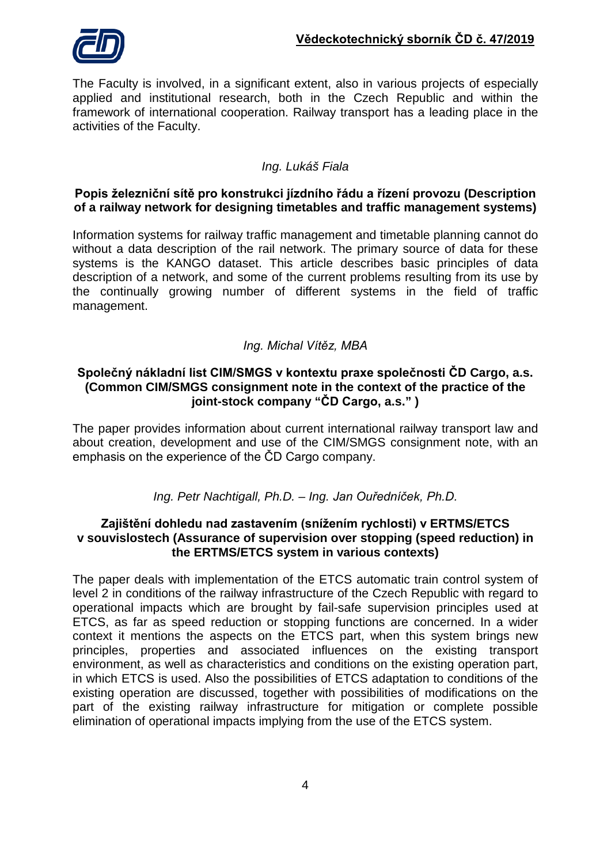

The Faculty is involved, in a significant extent, also in various projects of especially applied and institutional research, both in the Czech Republic and within the framework of international cooperation. Railway transport has a leading place in the activities of the Faculty.

# *Ing. Lukáš Fiala*

### **Popis železniční sítě pro konstrukci jízdního řádu a řízení provozu (Description of a railway network for designing timetables and traffic management systems)**

Information systems for railway traffic management and timetable planning cannot do without a data description of the rail network. The primary source of data for these systems is the KANGO dataset. This article describes basic principles of data description of a network, and some of the current problems resulting from its use by the continually growing number of different systems in the field of traffic management.

## *Ing. Michal Vítěz, MBA*

### **Společný nákladní list CIM/SMGS v kontextu praxe společnosti ČD Cargo, a.s. (Common CIM/SMGS consignment note in the context of the practice of the joint-stock company "ČD Cargo, a.s." )**

The paper provides information about current international railway transport law and about creation, development and use of the CIM/SMGS consignment note, with an emphasis on the experience of the ČD Cargo company.

### *Ing. Petr Nachtigall, Ph.D. – Ing. Jan Ouředníček, Ph.D.*

#### **Zajištění dohledu nad zastavením (snížením rychlosti) v ERTMS/ETCS v souvislostech (Assurance of supervision over stopping (speed reduction) in the ERTMS/ETCS system in various contexts)**

The paper deals with implementation of the ETCS automatic train control system of level 2 in conditions of the railway infrastructure of the Czech Republic with regard to operational impacts which are brought by fail-safe supervision principles used at ETCS, as far as speed reduction or stopping functions are concerned. In a wider context it mentions the aspects on the ETCS part, when this system brings new principles, properties and associated influences on the existing transport environment, as well as characteristics and conditions on the existing operation part, in which ETCS is used. Also the possibilities of ETCS adaptation to conditions of the existing operation are discussed, together with possibilities of modifications on the part of the existing railway infrastructure for mitigation or complete possible elimination of operational impacts implying from the use of the ETCS system.